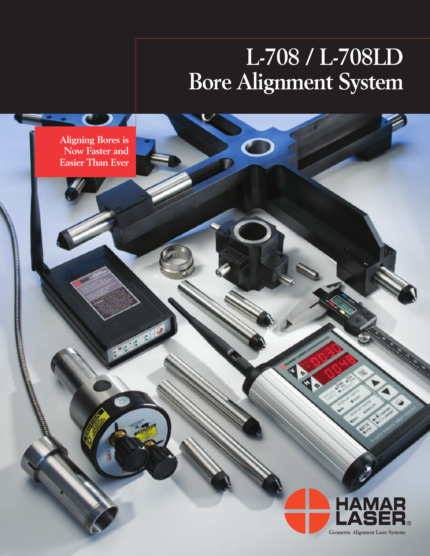# **L-708 / L-708LD Bore Alignment System**



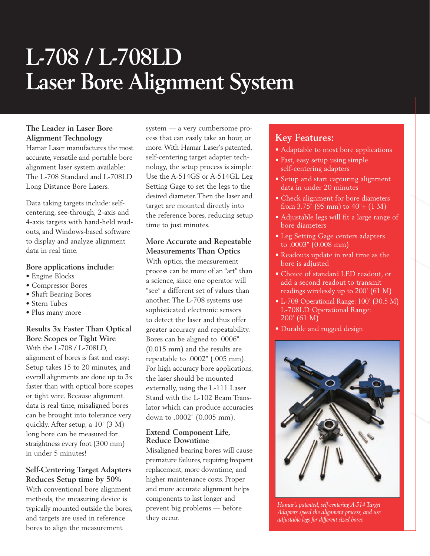# **L-708 / L-708LD Laser Bore Alignment System**

### **The Leader in Laser Bore Alignment Technology**

Hamar Laser manufactures the most accurate, versatile and portable bore alignment laser system available: The L-708 Standard and L-708LD Long Distance Bore Lasers.

Data taking targets include: selfcentering, see-through, 2-axis and 4-axis targets with hand-held readouts, and Windows-based software to display and analyze alignment data in real time.

#### **Bore applications include:**

- Engine Blocks
- Compressor Bores
- Shaft Bearing Bores
- Stern Tubes
- Plus many more

### **Results 3x Faster Than Optical Bore Scopes or Tight Wire**

With the L-708 / L-708LD, alignment of bores is fast and easy: Setup takes 15 to 20 minutes, and overall alignments are done up to 3x faster than with optical bore scopes or tight wire. Because alignment data is real time, misaligned bores can be brought into tolerance very quickly. After setup, a 10' (3 M) long bore can be measured for straightness every foot (300 mm) in under 5 minutes!

#### **Self-Centering Target Adapters Reduces Setup time by 50%**

With conventional bore alignment methods, the measuring device is typically mounted outside the bores, and targets are used in reference bores to align the measurement

system — a very cumbersome process that can easily take an hour, or more.With Hamar Laser's patented, self-centering target adapter technology, the setup process is simple: Use the A-514GS or A-514GL Leg Setting Gage to set the legs to the desired diameter. Then the laser and target are mounted directly into the reference bores, reducing setup time to just minutes.

#### **More Accurate and Repeatable Measurements Than Optics**

With optics, the measurement process can be more of an "art" than a science, since one operator will "see" a different set of values than another. The L-708 systems use sophisticated electronic sensors to detect the laser and thus offer greater accuracy and repeatability. Bores can be aligned to .0006" (0.015 mm) and the results are repeatable to .0002" (.005 mm). For high accuracy bore applications, the laser should be mounted externally, using the L-111 Laser Stand with the L-102 Beam Translator which can produce accuracies down to .0002" (0.005 mm).

#### **Extend Component Life, Reduce Downtime**

Misaligned bearing bores will cause premature failures, requiring frequent replacement, more downtime, and higher maintenance costs. Proper and more accurate alignment helps components to last longer and prevent big problems — before they occur.

### **Key Features:**

- Adaptable to most bore applications
- Fast, easy setup using simple self-centering adapters
- Setup and start capturing alignment data in under 20 minutes
- Check alignment for bore diameters from 3.75" (95 mm) to 40"+ (1 M)
- Adjustable legs will fit a large range of bore diameters
- Leg Setting Gage centers adapters to .0003" (0.008 mm)
- Readouts update in real time as the bore is adjusted
- Choice of standard LED readout, or add a second readout to transmit readings wirelessly up to 200' (61 M)
- L-708 Operational Range: 100' (30.5 M) L-708LD Operational Range: 200' (61 M)
- Durable and rugged design



*Hamar's patented, self-centering A-514 Target Adapters speed the alignment process, and use adjustable legs for different sized bores.*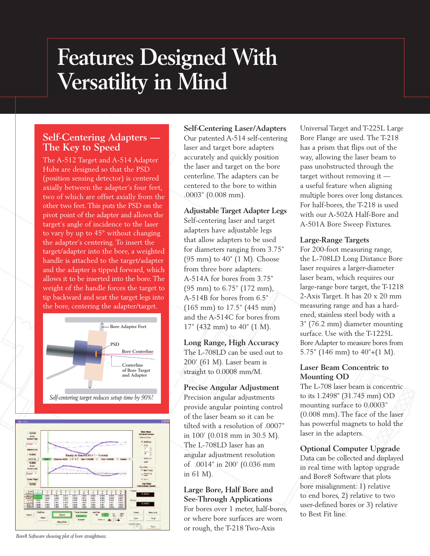# **Features Designed With Versatility in Mind**

### **Self-Centering Adapters — The Key to Speed**

The A-512 Target and A-514 Adapter Hubs are designed so that the PSD (position sensing detector) is centered axially between the adapter's four feet, two of which are offset axially from the other two feet.This puts the PSD on the pivot point of the adapter and allows the target's angle of incidence to the laser to vary by up to 45° without changing the adapter's centering. To insert the target/adapter into the bore, a weighted handle is attached to the target/adapter and the adapter is tipped forward, which allows it to be inserted into the bore. The weight of the handle forces the target to tip backward and seat the target legs into the bore, centering the adapter/target.





#### **Self-Centering Laser/Adapters**

Our patented A-514 self-centering laser and target bore adapters accurately and quickly position the laser and target on the bore centerline. The adapters can be centered to the bore to within .0003" (0.008 mm).

#### **Adjustable Target Adapter Legs**

Self-centering laser and target adapters have adjustable legs that allow adapters to be used for diameters ranging from 3.75" (95 mm) to 40" (1 M). Choose from three bore adapters: A-514A for bores from 3.75" (95 mm) to 6.75" (172 mm), A-514B for bores from 6.5" (165 mm) to 17.5" (445 mm) and the A-514C for bores from 17" (432 mm) to 40" (1 M).

#### **Long Range, High Accuracy** The L-708LD can be used out to 200' (61 M). Laser beam is straight to 0.0008 mm/M.

#### **Precise Angular Adjustment**

Precision angular adjustments provide angular pointing control of the laser beam so it can be tilted with a resolution of .0007" in 100' (0.018 mm in 30.5 M). The L-708LD laser has an angular adjustment resolution of .0014" in 200' (0.036 mm in 61 M).

**Large Bore, Half Bore and See-Through Applications** For bores over 1 meter, half-bores, or where bore surfaces are worn or rough, the T-218 Two-Axis

Universal Target and T-225L Large Bore Flange are used. The T-218 has a prism that flips out of the way, allowing the laser beam to pass unobstructed through the target without removing it a useful feature when aligning multiple bores over long distances. For half-bores, the T-218 is used with our A-502A Half-Bore and A-501A Bore Sweep Fixtures.

#### **Large-Range Targets**

For 200-foot measuring range, the L-708LD Long Distance Bore laser requires a larger-diameter laser beam, which requires our large-range bore target, the T-1218 2-Axis Target. It has 20 x 20 mm measuring range and has a hardened, stainless steel body with a 3" (76.2 mm) diameter mounting surface. Use with the T-1225L Bore Adapter to measure bores from 5.75" (146 mm) to 40"+(1 M).

#### **Laser Beam Concentric to Mounting OD**

The L-708 laser beam is concentric to its 1.2498" (31.745 mm) OD mounting surface to 0.0003" (0.008 mm). The face of the laser has powerful magnets to hold the laser in the adapters.

#### **Optional Computer Upgrade**

Data can be collected and displayed in real time with laptop upgrade and Bore8 Software that plots bore misalignment: 1) relative to end bores, 2) relative to two user-defined bores or 3) relative to Best Fit line.

*Bore8 Software showing plot of bore straightness.*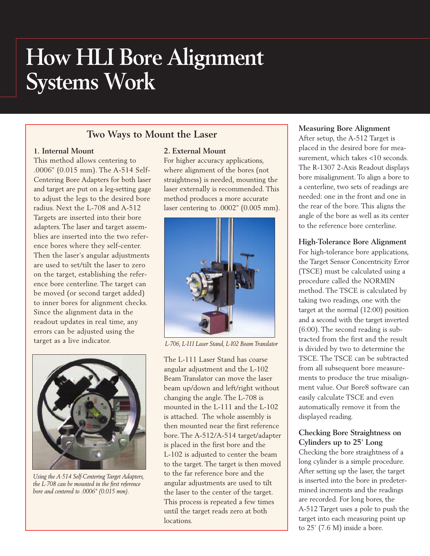# **How HLI Bore Alignment Systems Work**

### **Two Ways to Mount the Laser**

#### **1. Internal Mount**

This method allows centering to .0006" (0.015 mm). The A-514 Self-Centering Bore Adapters for both laser and target are put on a leg-setting gage to adjust the legs to the desired bore radius. Next the L-708 and A-512 Targets are inserted into their bore adapters. The laser and target assemblies are inserted into the two reference bores where they self-center. Then the laser's angular adjustments are used to set/tilt the laser to zero on the target, establishing the reference bore centerline. The target can be moved (or second target added) to inner bores for alignment checks. Since the alignment data in the readout updates in real time, any errors can be adjusted using the target as a live indicator.



*Using the A-514 Self-Centering Target Adapters, the L-708 can be mounted in the first reference bore and centered to .0006" (0.015 mm).*

#### **2. External Mount**

For higher accuracy applications, where alignment of the bores (not straightness) is needed, mounting the laser externally is recommended. This method produces a more accurate laser centering to .0002" (0.005 mm).



*L-706, L-111 Laser Stand, L-102 Beam Translator*

The L-111 Laser Stand has coarse angular adjustment and the L-102 Beam Translator can move the laser beam up/down and left/right without changing the angle. The L-708 is mounted in the L-111 and the L-102 is attached. The whole assembly is then mounted near the first reference bore. The A-512/A-514 target/adapter is placed in the first bore and the L-102 is adjusted to center the beam to the target. The target is then moved to the far reference bore and the angular adjustments are used to tilt the laser to the center of the target. This process is repeated a few times until the target reads zero at both locations.

#### **Measuring Bore Alignment**

After setup, the A-512 Target is placed in the desired bore for measurement, which takes <10 seconds. The R-1307 2-Axis Readout displays bore misalignment. To align a bore to a centerline, two sets of readings are needed: one in the front and one in the rear of the bore. This aligns the angle of the bore as well as its center to the reference bore centerline.

### **High-Tolerance Bore Alignment**

For high-tolerance bore applications, the Target Sensor Concentricity Error (TSCE) must be calculated using a procedure called the NORMIN method. The TSCE is calculated by taking two readings, one with the target at the normal (12:00) position and a second with the target inverted (6:00). The second reading is subtracted from the first and the result is divided by two to determine the TSCE. The TSCE can be subtracted from all subsequent bore measurements to produce the true misalignment value. Our Bore8 software can easily calculate TSCE and even automatically remove it from the displayed reading.

#### **Checking Bore Straightness on Cylinders up to 25' Long**

Checking the bore straightness of a long cylinder is a simple procedure. After setting up the laser, the target is inserted into the bore in predetermined increments and the readings are recorded. For long bores, the A-512 Target uses a pole to push the target into each measuring point up to 25' (7.6 M) inside a bore.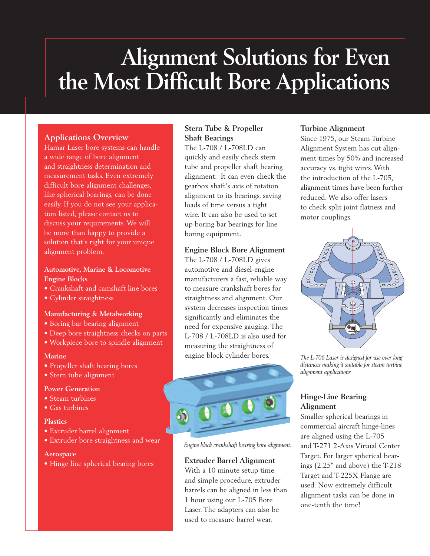# **Alignment Solutions for Even the Most Difficult Bore Applications**

#### **Applications Overview**

Hamar Laser bore systems can handle a wide range of bore alignment and straightness determination and measurement tasks. Even extremely difficult bore alignment challenges, like spherical bearings, can be done easily. If you do not see your application listed, please contact us to discuss your requirements. We will be more than happy to provide a solution that's right for your unique alignment problem.

#### **Automotive, Marine & Locomotive Engine Blocks**

- Crankshaft and camshaft line bores
- Cylinder straightness

#### **Manufacturing & Metalworking**

- Boring bar bearing alignment
- Deep bore straightness checks on parts
- Workpiece bore to spindle alignment

#### **Marine**

- Propeller shaft bearing bores
- Stern tube alignment

#### **Power Generation**

- Steam turbines
- Gas turbines

#### **Plastics**

- Extruder barrel alignment
- Extruder bore straightness and wear

#### **Aerospace**

• Hinge line spherical bearing bores

#### **Stern Tube & Propeller Shaft Bearings**

The L-708 / L-708LD can quickly and easily check stern tube and propeller shaft bearing alignment. It can even check the gearbox shaft's axis of rotation alignment to its bearings, saving loads of time versus a tight wire. It can also be used to set up boring bar bearings for line boring equipment.

#### **Engine Block Bore Alignment**

The L-708 / L-708LD gives automotive and diesel-engine manufacturers a fast, reliable way to measure crankshaft bores for straightness and alignment. Our system decreases inspection times significantly and eliminates the need for expensive gauging. The L-708 / L-708LD is also used for measuring the straightness of engine block cylinder bores.



*Engine block crankshaft bearing bore alignment.*

#### **Extruder Barrel Alignment**

With a 10 minute setup time and simple procedure, extruder barrels can be aligned in less than 1 hour using our L-705 Bore Laser. The adapters can also be used to measure barrel wear.

#### **Turbine Alignment**

Since 1975, our Steam Turbine Alignment System has cut alignment times by 50% and increased accuracy vs. tight wires. With the introduction of the L-705, alignment times have been further reduced. We also offer lasers to check split joint flatness and motor couplings.



*The L-706 Laser is designed for use over long distances making it suitable for steam turbine alignment applications.*

#### **Hinge-Line Bearing Alignment**

Smaller spherical bearings in commercial aircraft hinge-lines are aligned using the L-705 and T-271 2-Axis Virtual Center Target. For larger spherical bearings (2.25" and above) the T-218 Target and T-225X Flange are used. Now extremely difficult alignment tasks can be done in one-tenth the time!